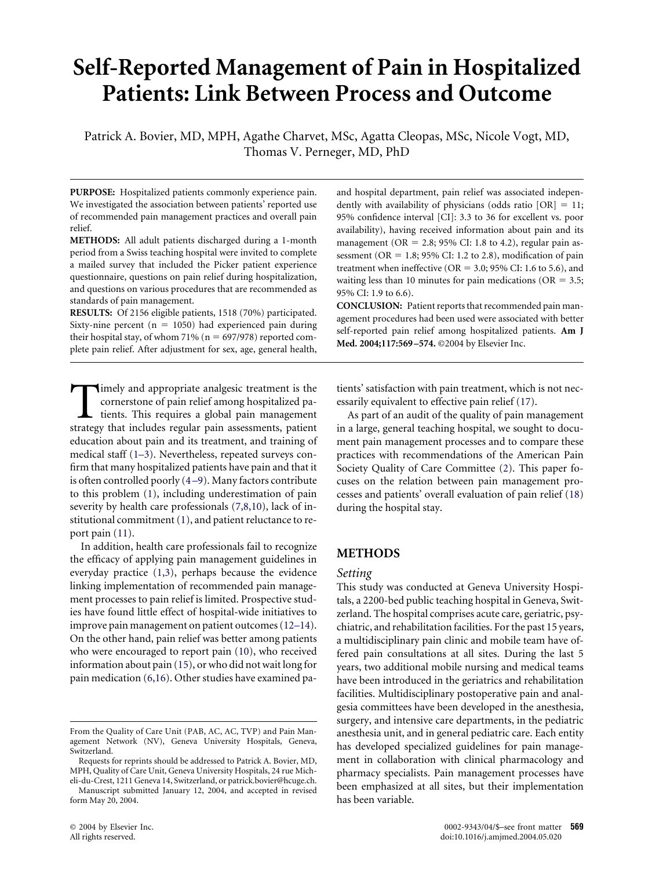# **Self-Reported Management of Pain in Hospitalized Patients: Link Between Process and Outcome**

Patrick A. Bovier, MD, MPH, Agathe Charvet, MSc, Agatta Cleopas, MSc, Nicole Vogt, MD, Thomas V. Perneger, MD, PhD

**PURPOSE:** Hospitalized patients commonly experience pain. We investigated the association between patients' reported use of recommended pain management practices and overall pain relief.

**METHODS:** All adult patients discharged during a 1-month period from a Swiss teaching hospital were invited to complete a mailed survey that included the Picker patient experience questionnaire, questions on pain relief during hospitalization, and questions on various procedures that are recommended as standards of pain management.

**RESULTS:** Of 2156 eligible patients, 1518 (70%) participated. Sixty-nine percent ( $n = 1050$ ) had experienced pain during their hospital stay, of whom 71% ( $n = 697/978$ ) reported complete pain relief. After adjustment for sex, age, general health,

Timely and appropriate analgesic treatment is the<br>cornerstone of pain relief among hospitalized pa-<br>tients. This requires a global pain management<br>strategy that includes regular pain assessments, patient cornerstone of pain relief among hospitalized patients. This requires a global pain management strategy that includes regular pain assessments, patient education about pain and its treatment, and training of medical staff [\(1–3\)](#page-5-0). Nevertheless, repeated surveys confirm that many hospitalized patients have pain and that it is often controlled poorly [\(4 –9\)](#page-5-0). Many factors contribute to this problem [\(1\)](#page-5-0), including underestimation of pain severity by health care professionals [\(7,8,10\)](#page-5-0), lack of institutional commitment [\(1\)](#page-5-0), and patient reluctance to report pain [\(11\)](#page-5-0).

In addition, health care professionals fail to recognize the efficacy of applying pain management guidelines in everyday practice [\(1,3\)](#page-5-0), perhaps because the evidence linking implementation of recommended pain management processes to pain relief is limited. Prospective studies have found little effect of hospital-wide initiatives to improve pain management on patient outcomes [\(12–14\)](#page-5-0). On the other hand, pain relief was better among patients who were encouraged to report pain [\(10\)](#page-5-0), who received information about pain [\(15\)](#page-5-0), or who did not wait long for pain medication [\(6,16\)](#page-5-0). Other studies have examined pa-

Requests for reprints should be addressed to Patrick A. Bovier, MD, MPH, Quality of Care Unit, Geneva University Hospitals, 24 rue Micheli-du-Crest, 1211 Geneva 14, Switzerland, or patrick.bovier@hcuge.ch. Manuscript submitted January 12, 2004, and accepted in revised

form May 20, 2004.

and hospital department, pain relief was associated independently with availability of physicians (odds ratio  $[OR] = 11$ ; 95% confidence interval [CI]: 3.3 to 36 for excellent vs. poor availability), having received information about pain and its management ( $OR = 2.8$ ; 95% CI: 1.8 to 4.2), regular pain assessment ( $OR = 1.8$ ; 95% CI: 1.2 to 2.8), modification of pain treatment when ineffective ( $OR = 3.0$ ; 95% CI: 1.6 to 5.6), and waiting less than 10 minutes for pain medications ( $OR = 3.5$ ; 95% CI: 1.9 to 6.6).

**CONCLUSION:** Patient reports that recommended pain management procedures had been used were associated with better self-reported pain relief among hospitalized patients. **Am J Med. 2004;117:569 –574.** ©2004 by Elsevier Inc.

tients' satisfaction with pain treatment, which is not necessarily equivalent to effective pain relief [\(17\)](#page-5-0).

As part of an audit of the quality of pain management in a large, general teaching hospital, we sought to document pain management processes and to compare these practices with recommendations of the American Pain Society Quality of Care Committee [\(2\)](#page-5-0). This paper focuses on the relation between pain management processes and patients' overall evaluation of pain relief [\(18\)](#page-5-0) during the hospital stay.

# **METHODS**

#### *Setting*

This study was conducted at Geneva University Hospitals, a 2200-bed public teaching hospital in Geneva, Switzerland. The hospital comprises acute care, geriatric, psychiatric, and rehabilitation facilities. For the past 15 years, a multidisciplinary pain clinic and mobile team have offered pain consultations at all sites. During the last 5 years, two additional mobile nursing and medical teams have been introduced in the geriatrics and rehabilitation facilities. Multidisciplinary postoperative pain and analgesia committees have been developed in the anesthesia, surgery, and intensive care departments, in the pediatric anesthesia unit, and in general pediatric care. Each entity has developed specialized guidelines for pain management in collaboration with clinical pharmacology and pharmacy specialists. Pain management processes have been emphasized at all sites, but their implementation has been variable.

From the Quality of Care Unit (PAB, AC, AC, TVP) and Pain Management Network (NV), Geneva University Hospitals, Geneva, Switzerland.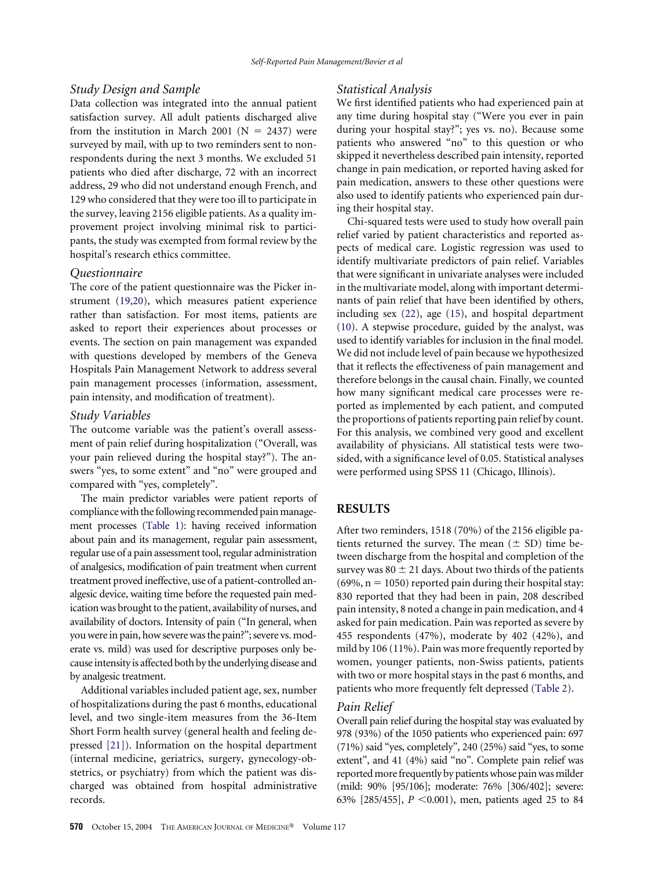## *Study Design and Sample*

Data collection was integrated into the annual patient satisfaction survey. All adult patients discharged alive from the institution in March 2001 ( $N = 2437$ ) were surveyed by mail, with up to two reminders sent to nonrespondents during the next 3 months. We excluded 51 patients who died after discharge, 72 with an incorrect address, 29 who did not understand enough French, and 129 who considered that they were too ill to participate in the survey, leaving 2156 eligible patients. As a quality improvement project involving minimal risk to participants, the study was exempted from formal review by the hospital's research ethics committee.

## *Questionnaire*

The core of the patient questionnaire was the Picker instrument [\(19,20\)](#page-5-0), which measures patient experience rather than satisfaction. For most items, patients are asked to report their experiences about processes or events. The section on pain management was expanded with questions developed by members of the Geneva Hospitals Pain Management Network to address several pain management processes (information, assessment, pain intensity, and modification of treatment).

#### *Study Variables*

The outcome variable was the patient's overall assessment of pain relief during hospitalization ("Overall, was your pain relieved during the hospital stay?"). The answers "yes, to some extent" and "no" were grouped and compared with "yes, completely".

The main predictor variables were patient reports of compliance with the following recommended pain management processes [\(Table 1\)](#page-2-0): having received information about pain and its management, regular pain assessment, regular use of a pain assessment tool, regular administration of analgesics, modification of pain treatment when current treatment proved ineffective, use of a patient-controlled analgesic device, waiting time before the requested pain medication was brought to the patient, availability of nurses, and availability of doctors. Intensity of pain ("In general, when you were in pain, how severe was the pain?"; severe vs. moderate vs. mild) was used for descriptive purposes only because intensity is affected both by the underlying disease and by analgesic treatment.

Additional variables included patient age, sex, number of hospitalizations during the past 6 months, educational level, and two single-item measures from the 36-Item Short Form health survey (general health and feeling depressed [\[21\]\)](#page-5-0). Information on the hospital department (internal medicine, geriatrics, surgery, gynecology-obstetrics, or psychiatry) from which the patient was discharged was obtained from hospital administrative records.

## *Statistical Analysis*

We first identified patients who had experienced pain at any time during hospital stay ("Were you ever in pain during your hospital stay?"; yes vs. no). Because some patients who answered "no" to this question or who skipped it nevertheless described pain intensity, reported change in pain medication, or reported having asked for pain medication, answers to these other questions were also used to identify patients who experienced pain during their hospital stay.

Chi-squared tests were used to study how overall pain relief varied by patient characteristics and reported aspects of medical care. Logistic regression was used to identify multivariate predictors of pain relief. Variables that were significant in univariate analyses were included in the multivariate model, along with important determinants of pain relief that have been identified by others, including sex [\(22\)](#page-5-0), age [\(15\)](#page-5-0), and hospital department [\(10\)](#page-5-0). A stepwise procedure, guided by the analyst, was used to identify variables for inclusion in the final model. We did not include level of pain because we hypothesized that it reflects the effectiveness of pain management and therefore belongs in the causal chain. Finally, we counted how many significant medical care processes were reported as implemented by each patient, and computed the proportions of patients reporting pain relief by count. For this analysis, we combined very good and excellent availability of physicians. All statistical tests were twosided, with a significance level of 0.05. Statistical analyses were performed using SPSS 11 (Chicago, Illinois).

# **RESULTS**

After two reminders, 1518 (70%) of the 2156 eligible patients returned the survey. The mean  $(\pm SD)$  time between discharge from the hospital and completion of the survey was 80  $\pm$  21 days. About two thirds of the patients  $(69\%, n = 1050)$  reported pain during their hospital stay: 830 reported that they had been in pain, 208 described pain intensity, 8 noted a change in pain medication, and 4 asked for pain medication. Pain was reported as severe by 455 respondents (47%), moderate by 402 (42%), and mild by 106 (11%). Pain was more frequently reported by women, younger patients, non-Swiss patients, patients with two or more hospital stays in the past 6 months, and patients who more frequently felt depressed [\(Table 2\)](#page-3-0).

#### *Pain Relief*

Overall pain relief during the hospital stay was evaluated by 978 (93%) of the 1050 patients who experienced pain: 697 (71%) said "yes, completely", 240 (25%) said "yes, to some extent", and 41 (4%) said "no". Complete pain relief was reported more frequently by patients whose pain was milder (mild: 90% [95/106]; moderate: 76% [306/402]; severe: 63% [285/455],  $P < 0.001$ ), men, patients aged 25 to 84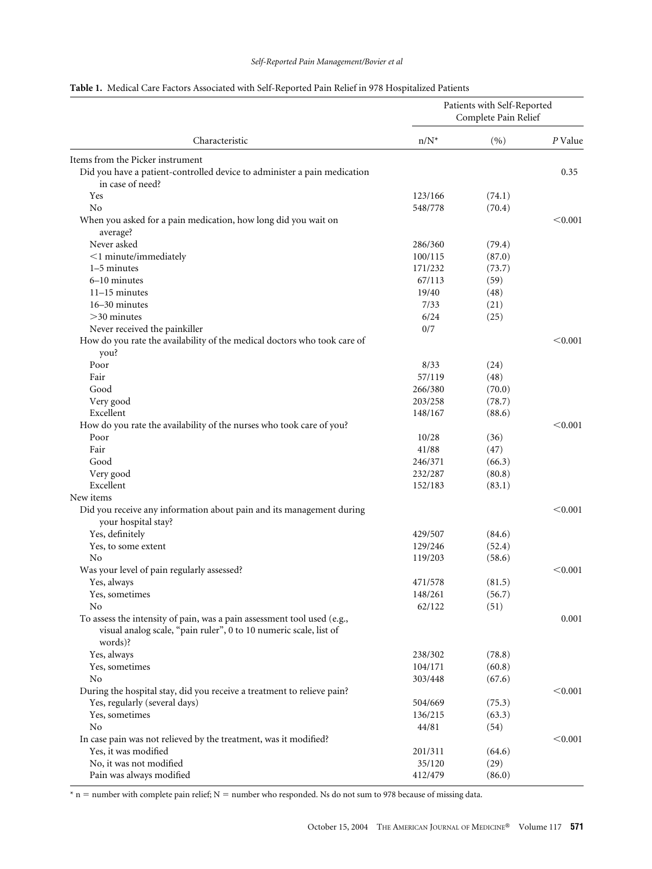# *Self-Reported Pain Management/Bovier et al*

<span id="page-2-0"></span>

|                                                                                                                                                         | Patients with Self-Reported<br>Complete Pain Relief |        |         |  |
|---------------------------------------------------------------------------------------------------------------------------------------------------------|-----------------------------------------------------|--------|---------|--|
| Characteristic                                                                                                                                          | $n/N^*$                                             | (9)    | P Value |  |
| Items from the Picker instrument                                                                                                                        |                                                     |        |         |  |
| Did you have a patient-controlled device to administer a pain medication<br>in case of need?                                                            |                                                     |        | 0.35    |  |
| Yes                                                                                                                                                     | 123/166                                             | (74.1) |         |  |
| No                                                                                                                                                      | 548/778                                             | (70.4) |         |  |
| When you asked for a pain medication, how long did you wait on<br>average?                                                                              |                                                     |        | < 0.001 |  |
| Never asked                                                                                                                                             | 286/360                                             | (79.4) |         |  |
| $<$ 1 minute/immediately                                                                                                                                | 100/115                                             | (87.0) |         |  |
| 1–5 minutes                                                                                                                                             | 171/232                                             | (73.7) |         |  |
| 6-10 minutes                                                                                                                                            | 67/113                                              | (59)   |         |  |
| $11-15$ minutes                                                                                                                                         | 19/40                                               | (48)   |         |  |
| 16-30 minutes                                                                                                                                           | 7/33                                                | (21)   |         |  |
| $>30$ minutes                                                                                                                                           | 6/24                                                | (25)   |         |  |
| Never received the painkiller                                                                                                                           | 0/7                                                 |        |         |  |
| How do you rate the availability of the medical doctors who took care of<br>you?                                                                        |                                                     |        | < 0.001 |  |
| Poor                                                                                                                                                    | 8/33                                                | (24)   |         |  |
| Fair                                                                                                                                                    | 57/119                                              | (48)   |         |  |
| Good                                                                                                                                                    | 266/380                                             | (70.0) |         |  |
| Very good                                                                                                                                               | 203/258                                             | (78.7) |         |  |
| Excellent                                                                                                                                               | 148/167                                             | (88.6) |         |  |
| How do you rate the availability of the nurses who took care of you?                                                                                    |                                                     |        | < 0.001 |  |
| Poor                                                                                                                                                    | 10/28                                               | (36)   |         |  |
| Fair                                                                                                                                                    | 41/88                                               | (47)   |         |  |
| Good                                                                                                                                                    | 246/371                                             | (66.3) |         |  |
| Very good                                                                                                                                               | 232/287                                             | (80.8) |         |  |
| Excellent                                                                                                                                               | 152/183                                             | (83.1) |         |  |
| New items                                                                                                                                               |                                                     |        |         |  |
| Did you receive any information about pain and its management during<br>your hospital stay?                                                             |                                                     |        | < 0.001 |  |
| Yes, definitely                                                                                                                                         | 429/507                                             | (84.6) |         |  |
| Yes, to some extent                                                                                                                                     | 129/246                                             | (52.4) |         |  |
| No                                                                                                                                                      | 119/203                                             | (58.6) |         |  |
| Was your level of pain regularly assessed?                                                                                                              |                                                     |        | < 0.001 |  |
| Yes, always                                                                                                                                             | 471/578                                             | (81.5) |         |  |
| Yes, sometimes                                                                                                                                          | 148/261                                             | (56.7) |         |  |
| No                                                                                                                                                      | 62/122                                              | (51)   |         |  |
| To assess the intensity of pain, was a pain assessment tool used (e.g.,<br>visual analog scale, "pain ruler", 0 to 10 numeric scale, list of<br>words)? |                                                     |        | 0.001   |  |
| Yes, always                                                                                                                                             | 238/302                                             | (78.8) |         |  |
| Yes, sometimes                                                                                                                                          | 104/171                                             | (60.8) |         |  |
| No                                                                                                                                                      | 303/448                                             | (67.6) |         |  |
| During the hospital stay, did you receive a treatment to relieve pain?                                                                                  |                                                     |        | < 0.001 |  |
| Yes, regularly (several days)                                                                                                                           | 504/669                                             | (75.3) |         |  |
| Yes, sometimes                                                                                                                                          | 136/215                                             | (63.3) |         |  |
| N <sub>o</sub>                                                                                                                                          | 44/81                                               | (54)   |         |  |
| In case pain was not relieved by the treatment, was it modified?                                                                                        |                                                     |        | < 0.001 |  |
| Yes, it was modified                                                                                                                                    | 201/311                                             | (64.6) |         |  |
| No, it was not modified                                                                                                                                 | 35/120                                              | (29)   |         |  |
| Pain was always modified                                                                                                                                | 412/479                                             | (86.0) |         |  |

 $*$  n = number with complete pain relief; N = number who responded. Ns do not sum to 978 because of missing data.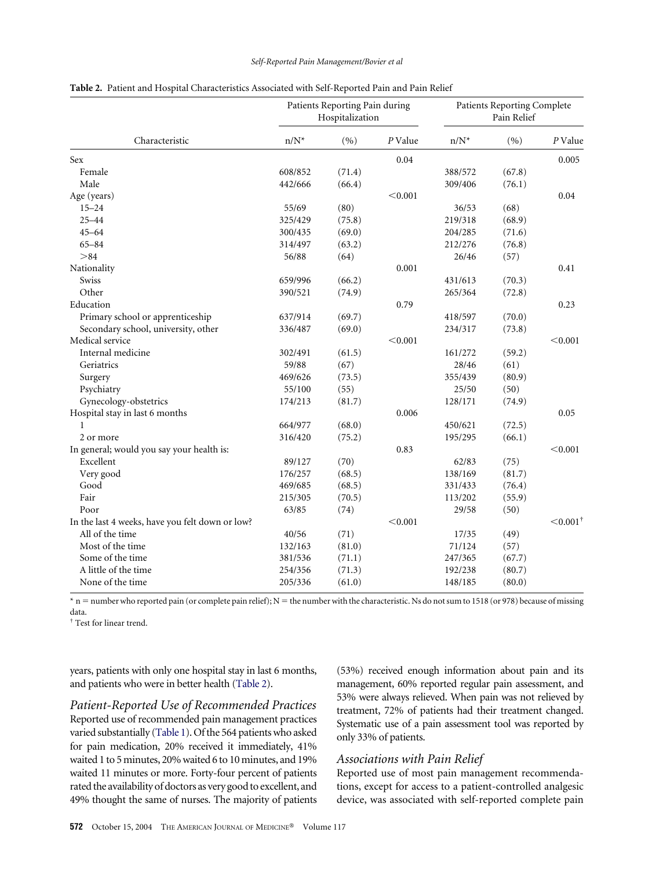| Characteristic                                  | Patients Reporting Pain during<br>Hospitalization |        |         | Patients Reporting Complete<br>Pain Relief |        |                        |
|-------------------------------------------------|---------------------------------------------------|--------|---------|--------------------------------------------|--------|------------------------|
|                                                 | $n/N^*$                                           | (9/0)  | P Value | $n/N^*$                                    | (%)    | P Value                |
| Sex                                             |                                                   |        | 0.04    |                                            |        | 0.005                  |
| Female                                          | 608/852                                           | (71.4) |         | 388/572                                    | (67.8) |                        |
| Male                                            | 442/666                                           | (66.4) |         | 309/406                                    | (76.1) |                        |
| Age (years)                                     |                                                   |        | < 0.001 |                                            |        | 0.04                   |
| $15 - 24$                                       | 55/69                                             | (80)   |         | 36/53                                      | (68)   |                        |
| $25 - 44$                                       | 325/429                                           | (75.8) |         | 219/318                                    | (68.9) |                        |
| $45 - 64$                                       | 300/435                                           | (69.0) |         | 204/285                                    | (71.6) |                        |
| $65 - 84$                                       | 314/497                                           | (63.2) |         | 212/276                                    | (76.8) |                        |
| > 84                                            | 56/88                                             | (64)   |         | 26/46                                      | (57)   |                        |
| Nationality                                     |                                                   |        | 0.001   |                                            |        | 0.41                   |
| Swiss                                           | 659/996                                           | (66.2) |         | 431/613                                    | (70.3) |                        |
| Other                                           | 390/521                                           | (74.9) |         | 265/364                                    | (72.8) |                        |
| Education                                       |                                                   |        | 0.79    |                                            |        | 0.23                   |
| Primary school or apprenticeship                | 637/914                                           | (69.7) |         | 418/597                                    | (70.0) |                        |
| Secondary school, university, other             | 336/487                                           | (69.0) |         | 234/317                                    | (73.8) |                        |
| Medical service                                 |                                                   |        | < 0.001 |                                            |        | < 0.001                |
| Internal medicine                               | 302/491                                           | (61.5) |         | 161/272                                    | (59.2) |                        |
| Geriatrics                                      | 59/88                                             | (67)   |         | 28/46                                      | (61)   |                        |
| Surgery                                         | 469/626                                           | (73.5) |         | 355/439                                    | (80.9) |                        |
| Psychiatry                                      | 55/100                                            | (55)   |         | 25/50                                      | (50)   |                        |
| Gynecology-obstetrics                           | 174/213                                           | (81.7) |         | 128/171                                    | (74.9) |                        |
| Hospital stay in last 6 months                  |                                                   |        | 0.006   |                                            |        | 0.05                   |
| 1                                               | 664/977                                           | (68.0) |         | 450/621                                    | (72.5) |                        |
| 2 or more                                       | 316/420                                           | (75.2) |         | 195/295                                    | (66.1) |                        |
| In general; would you say your health is:       |                                                   |        | 0.83    |                                            |        | < 0.001                |
| Excellent                                       | 89/127                                            | (70)   |         | 62/83                                      | (75)   |                        |
| Very good                                       | 176/257                                           | (68.5) |         | 138/169                                    | (81.7) |                        |
| Good                                            | 469/685                                           | (68.5) |         | 331/433                                    | (76.4) |                        |
| Fair                                            | 215/305                                           | (70.5) |         | 113/202                                    | (55.9) |                        |
| Poor                                            | 63/85                                             | (74)   |         | 29/58                                      | (50)   |                        |
| In the last 4 weeks, have you felt down or low? |                                                   |        | < 0.001 |                                            |        | $\leq 0.001^{\dagger}$ |
| All of the time                                 | 40/56                                             | (71)   |         | 17/35                                      | (49)   |                        |
| Most of the time                                | 132/163                                           | (81.0) |         | 71/124                                     | (57)   |                        |
| Some of the time                                | 381/536                                           | (71.1) |         | 247/365                                    | (67.7) |                        |
| A little of the time                            | 254/356                                           | (71.3) |         | 192/238                                    | (80.7) |                        |
| None of the time                                | 205/336                                           | (61.0) |         | 148/185                                    | (80.0) |                        |

<span id="page-3-0"></span>

| Table 2. Patient and Hospital Characteristics Associated with Self-Reported Pain and Pain Relief |
|--------------------------------------------------------------------------------------------------|
|--------------------------------------------------------------------------------------------------|

 $*$  n = number who reported pain (or complete pain relief); N = the number with the characteristic. Ns do not sum to 1518 (or 978) because of missing data.

† Test for linear trend.

years, patients with only one hospital stay in last 6 months, and patients who were in better health (Table 2).

*Patient-Reported Use of Recommended Practices* Reported use of recommended pain management practices varied substantially [\(Table 1\)](#page-2-0). Of the 564 patients who asked for pain medication, 20% received it immediately, 41% waited 1 to 5 minutes, 20% waited 6 to 10 minutes, and 19% waited 11 minutes or more. Forty-four percent of patients rated the availability of doctors as very good to excellent, and 49% thought the same of nurses. The majority of patients

(53%) received enough information about pain and its management, 60% reported regular pain assessment, and 53% were always relieved. When pain was not relieved by treatment, 72% of patients had their treatment changed. Systematic use of a pain assessment tool was reported by only 33% of patients.

### *Associations with Pain Relief*

Reported use of most pain management recommendations, except for access to a patient-controlled analgesic device, was associated with self-reported complete pain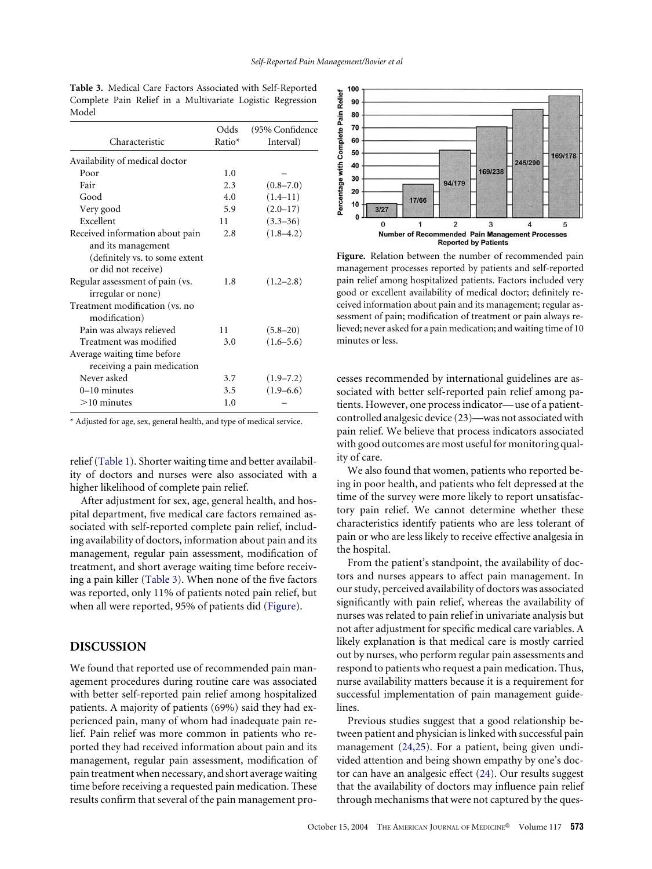|                                 | Odds   | (95% Confidence |
|---------------------------------|--------|-----------------|
| Characteristic                  | Ratio* | Interval)       |
| Availability of medical doctor  |        |                 |
| Poor                            | 1.0    |                 |
| Fair                            | 2.3    | $(0.8 - 7.0)$   |
| Good                            | 4.0    | $(1.4 - 11)$    |
| Very good                       | 5.9    | $(2.0 - 17)$    |
| Excellent                       | 11     | $(3.3 - 36)$    |
| Received information about pain | 2.8    | $(1.8 - 4.2)$   |
| and its management              |        |                 |
| (definitely vs. to some extent  |        |                 |
| or did not receive)             |        |                 |
| Regular assessment of pain (vs. | 1.8    | $(1.2 - 2.8)$   |
| irregular or none)              |        |                 |
| Treatment modification (vs. no  |        |                 |
| modification)                   |        |                 |
| Pain was always relieved        | 11     | $(5.8 - 20)$    |
| Treatment was modified          | 3.0    | $(1.6 - 5.6)$   |
| Average waiting time before     |        |                 |
| receiving a pain medication     |        |                 |
| Never asked                     | 3.7    | $(1.9 - 7.2)$   |
| $0-10$ minutes                  | 3.5    | $(1.9 - 6.6)$   |
| $>10$ minutes                   | 1.0    |                 |

**Table 3.** Medical Care Factors Associated with Self-Reported Complete Pain Relief in a Multivariate Logistic Regression Model

\* Adjusted for age, sex, general health, and type of medical service.

relief [\(Table 1\)](#page-2-0). Shorter waiting time and better availability of doctors and nurses were also associated with a higher likelihood of complete pain relief.

After adjustment for sex, age, general health, and hospital department, five medical care factors remained associated with self-reported complete pain relief, including availability of doctors, information about pain and its management, regular pain assessment, modification of treatment, and short average waiting time before receiving a pain killer (Table 3). When none of the five factors was reported, only 11% of patients noted pain relief, but when all were reported, 95% of patients did (Figure).

# **DISCUSSION**

We found that reported use of recommended pain management procedures during routine care was associated with better self-reported pain relief among hospitalized patients. A majority of patients (69%) said they had experienced pain, many of whom had inadequate pain relief. Pain relief was more common in patients who reported they had received information about pain and its management, regular pain assessment, modification of pain treatment when necessary, and short average waiting time before receiving a requested pain medication. These results confirm that several of the pain management pro-



**Figure.** Relation between the number of recommended pain management processes reported by patients and self-reported pain relief among hospitalized patients. Factors included very good or excellent availability of medical doctor; definitely received information about pain and its management; regular assessment of pain; modification of treatment or pain always relieved; never asked for a pain medication; and waiting time of 10 minutes or less.

cesses recommended by international guidelines are associated with better self-reported pain relief among patients. However, one process indicator—use of a patientcontrolled analgesic device (23)—was not associated with pain relief. We believe that process indicators associated with good outcomes are most useful for monitoring quality of care.

We also found that women, patients who reported being in poor health, and patients who felt depressed at the time of the survey were more likely to report unsatisfactory pain relief. We cannot determine whether these characteristics identify patients who are less tolerant of pain or who are less likely to receive effective analgesia in the hospital.

From the patient's standpoint, the availability of doctors and nurses appears to affect pain management. In our study, perceived availability of doctors was associated significantly with pain relief, whereas the availability of nurses was related to pain relief in univariate analysis but not after adjustment for specific medical care variables. A likely explanation is that medical care is mostly carried out by nurses, who perform regular pain assessments and respond to patients who request a pain medication. Thus, nurse availability matters because it is a requirement for successful implementation of pain management guidelines.

Previous studies suggest that a good relationship between patient and physician is linked with successful pain management [\(24,25\)](#page-5-0). For a patient, being given undivided attention and being shown empathy by one's doctor can have an analgesic effect [\(24\)](#page-5-0). Our results suggest that the availability of doctors may influence pain relief through mechanisms that were not captured by the ques